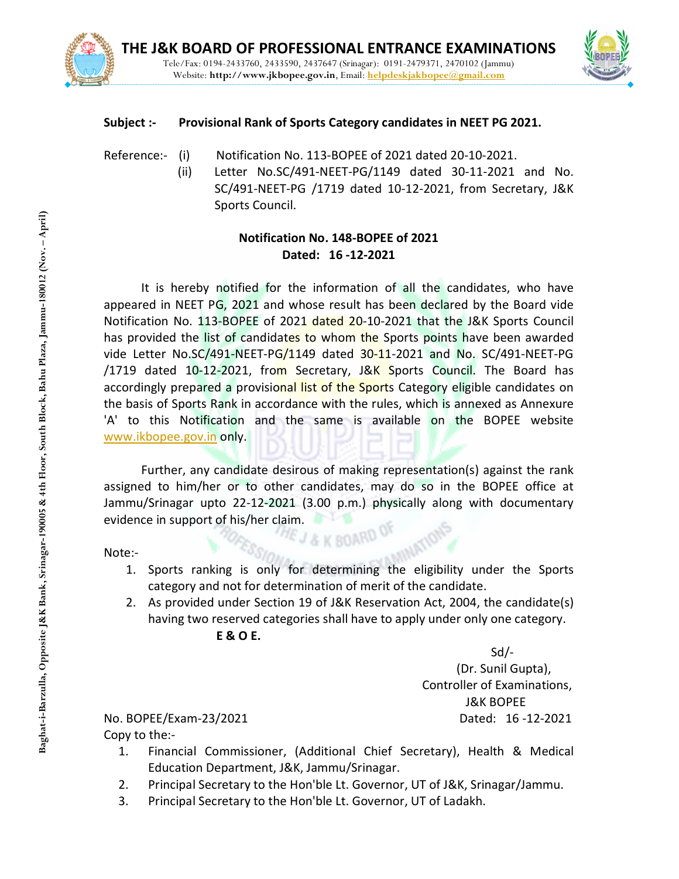



## Subject :- Provisional Rank of Sports Category candidates in NEET PG 2021.

Reference:- (i) Notification No. 113-BOPEE of 2021 dated 20-10-2021.

(ii) Letter No.SC/491-NEET-PG/1149 dated 30-11-2021 and No. SC/491-NEET-PG /1719 dated 10-12-2021, from Secretary, J&K Sports Council.

## Notification No. 148-BOPEE of 2021 Dated: 16 -12-2021

It is hereby notified for the information of all the candidates, who have appeared in NEET PG, 2021 and whose result has been declared by the Board vide Notification No. 113-BOPEE of 2021 dated 20-10-2021 that the J&K Sports Council has provided the list of candidates to whom the Sports points have been awarded vide Letter No.SC/491-NEET-PG/1149 dated 30-11-2021 and No. SC/491-NEET-PG /1719 dated 10-12-2021, from Secretary, J&K Sports Council. The Board has accordingly prepared a provisional list of the Sports Category eligible candidates on the basis of Sports Rank in accordance with the rules, which is annexed as Annexure 'A' to this Notification and the same is available on the BOPEE website www.ikbopee.gov.in only. **Example 12. Principal Secretary 12. Principal Secretary to the Hones CO21**<br> **Bagging Secret ANET PG, 2021 and whose result has been declared by horiticalion to. 13. Barzulla discussed 20.13-2021 and No. 5 (11719 dated 20.** 

Further, any candidate desirous of making representation(s) against the rank assigned to him/her or to other candidates, may do so in the BOPEE office at Jammu/Srinagar upto 22-12-2021 (3.00 p.m.) physically along with documentary evidence in support of his/her claim.<br>
The contract of the claim.

Note:-

- 1. Sports ranking is only for determining the eligibility under the Sports category and not for determination of merit of the candidate.
- 2. As provided under Section 19 of J&K Reservation Act, 2004, the candidate(s) having two reserved categories shall have to apply under only one category. E & O E.

Sd/-

 (Dr. Sunil Gupta), Controller of Examinations, J&K BOPEE No. BOPEE/Exam-23/2021 Dated: 16 -12-2021

Copy to the:-

- 1. Financial Commissioner, (Additional Chief Secretary), Health & Medical Education Department, J&K, Jammu/Srinagar.
- 2. Principal Secretary to the Hon'ble Lt. Governor, UT of J&K, Srinagar/Jammu.
-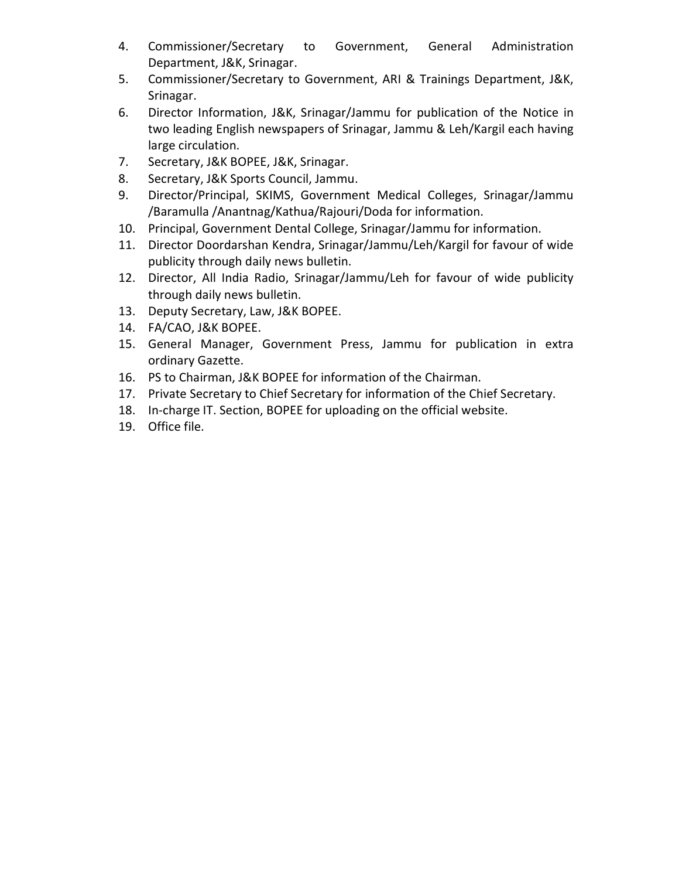- 4. Commissioner/Secretary to Government, General Administration Department, J&K, Srinagar.
- 5. Commissioner/Secretary to Government, ARI & Trainings Department, J&K, Srinagar.
- 6. Director Information, J&K, Srinagar/Jammu for publication of the Notice in two leading English newspapers of Srinagar, Jammu & Leh/Kargil each having large circulation.
- 7. Secretary, J&K BOPEE, J&K, Srinagar.
- 8. Secretary, J&K Sports Council, Jammu.
- 9. Director/Principal, SKIMS, Government Medical Colleges, Srinagar/Jammu /Baramulla /Anantnag/Kathua/Rajouri/Doda for information.
- 10. Principal, Government Dental College, Srinagar/Jammu for information.
- 11. Director Doordarshan Kendra, Srinagar/Jammu/Leh/Kargil for favour of wide publicity through daily news bulletin.
- 12. Director, All India Radio, Srinagar/Jammu/Leh for favour of wide publicity through daily news bulletin.
- 13. Deputy Secretary, Law, J&K BOPEE.
- 14. FA/CAO, J&K BOPEE.
- 15. General Manager, Government Press, Jammu for publication in extra ordinary Gazette.
- 16. PS to Chairman, J&K BOPEE for information of the Chairman.
- 17. Private Secretary to Chief Secretary for information of the Chief Secretary.
- 18. In-charge IT. Section, BOPEE for uploading on the official website.
- 19. Office file.